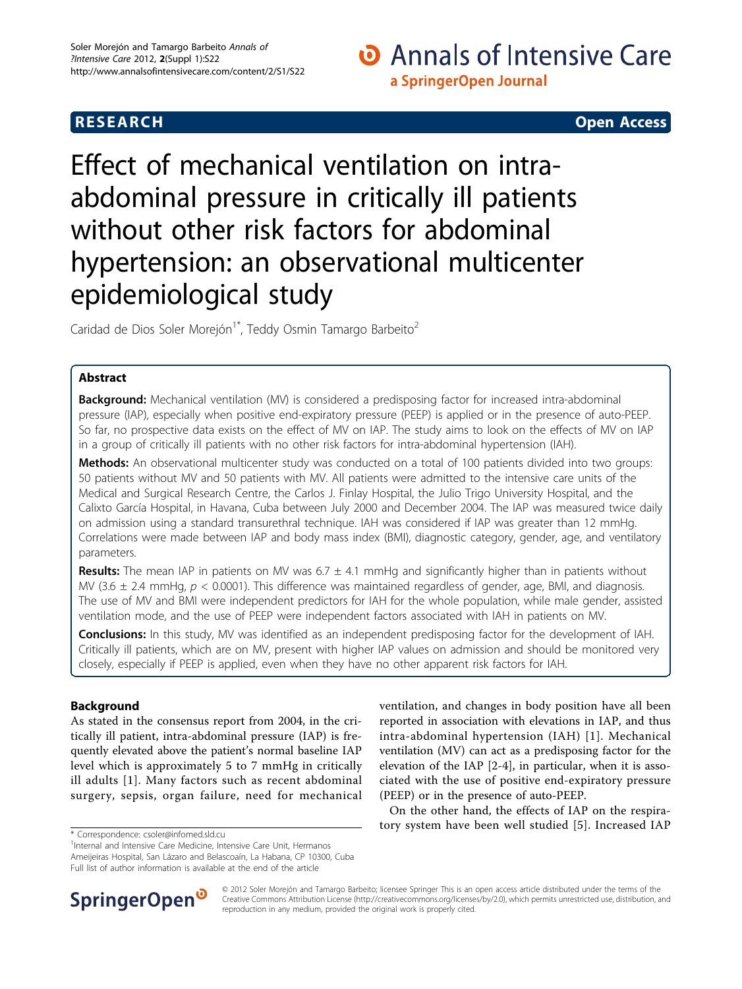**RESEARCH CONSTRUCTION CONSTRUCTS** 

# Effect of mechanical ventilation on intraabdominal pressure in critically ill patients without other risk factors for abdominal hypertension: an observational multicenter epidemiological study

Caridad de Dios Soler Morejón<sup>1\*</sup>, Teddy Osmin Tamargo Barbeito<sup>2</sup>

# Abstract

Background: Mechanical ventilation (MV) is considered a predisposing factor for increased intra-abdominal pressure (IAP), especially when positive end-expiratory pressure (PEEP) is applied or in the presence of auto-PEEP. So far, no prospective data exists on the effect of MV on IAP. The study aims to look on the effects of MV on IAP in a group of critically ill patients with no other risk factors for intra-abdominal hypertension (IAH).

Methods: An observational multicenter study was conducted on a total of 100 patients divided into two groups: 50 patients without MV and 50 patients with MV. All patients were admitted to the intensive care units of the Medical and Surgical Research Centre, the Carlos J. Finlay Hospital, the Julio Trigo University Hospital, and the Calixto García Hospital, in Havana, Cuba between July 2000 and December 2004. The IAP was measured twice daily on admission using a standard transurethral technique. IAH was considered if IAP was greater than 12 mmHg. Correlations were made between IAP and body mass index (BMI), diagnostic category, gender, age, and ventilatory parameters.

Results: The mean IAP in patients on MV was  $6.7 \pm 4.1$  mmHg and significantly higher than in patients without MV (3.6  $\pm$  2.4 mmHg,  $p < 0.0001$ ). This difference was maintained regardless of gender, age, BMI, and diagnosis. The use of MV and BMI were independent predictors for IAH for the whole population, while male gender, assisted ventilation mode, and the use of PEEP were independent factors associated with IAH in patients on MV.

**Conclusions:** In this study, MV was identified as an independent predisposing factor for the development of IAH. Critically ill patients, which are on MV, present with higher IAP values on admission and should be monitored very closely, especially if PEEP is applied, even when they have no other apparent risk factors for IAH.

# Background

As stated in the consensus report from 2004, in the critically ill patient, intra-abdominal pressure (IAP) is frequently elevated above the patient's normal baseline IAP level which is approximately 5 to 7 mmHg in critically ill adults [[1](#page-10-0)]. Many factors such as recent abdominal surgery, sepsis, organ failure, need for mechanical

<sup>1</sup>Internal and Intensive Care Medicine, Intensive Care Unit, Hermanos Ameijeiras Hospital, San Lázaro and Belascoaín, La Habana, CP 10300, Cuba Full list of author information is available at the end of the article

ventilation, and changes in body position have all been reported in association with elevations in IAP, and thus intra-abdominal hypertension (IAH) [\[1\]](#page-10-0). Mechanical ventilation (MV) can act as a predisposing factor for the elevation of the IAP [[2-4](#page-10-0)], in particular, when it is associated with the use of positive end-expiratory pressure (PEEP) or in the presence of auto-PEEP.

On the other hand, the effects of IAP on the respiratory system have been well studied [[5\]](#page-10-0). Increased IAP \* Correspondence: [csoler@infomed.sld.cu](mailto:csoler@infomed.sld.cu)



© 2012 Soler Morejón and Tamargo Barbeito; licensee Springer This is an open access article distributed under the terms of the Creative Commons Attribution License (<http://creativecommons.org/licenses/by/2.0>), which permits unrestricted use, distribution, and reproduction in any medium, provided the original work is properly cited.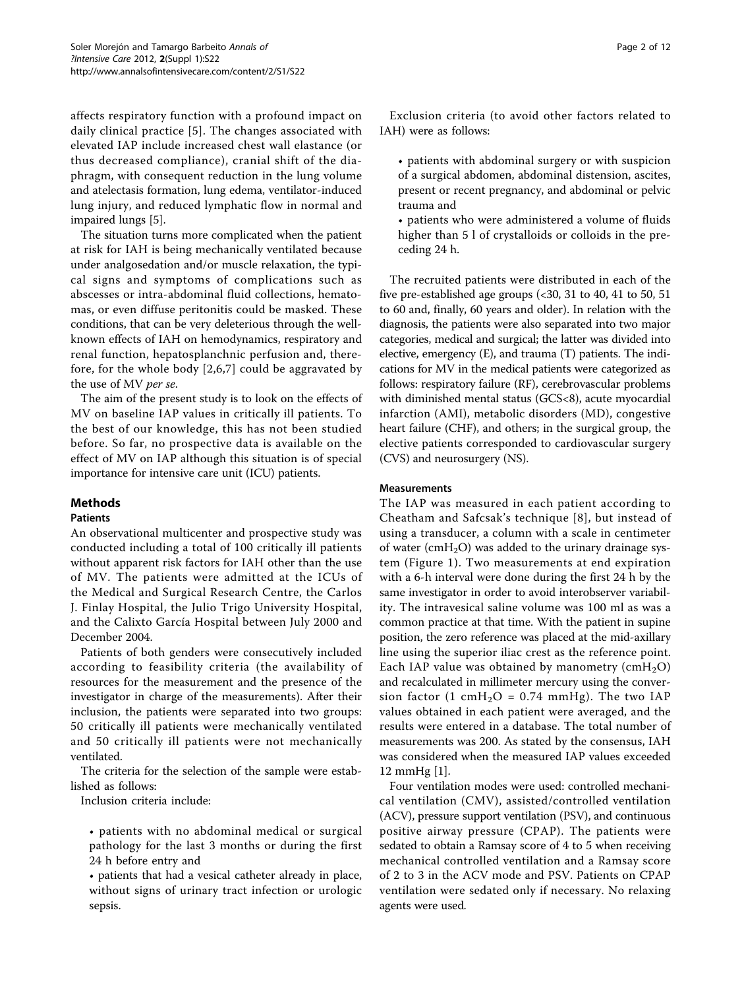affects respiratory function with a profound impact on daily clinical practice [\[5](#page-10-0)]. The changes associated with elevated IAP include increased chest wall elastance (or thus decreased compliance), cranial shift of the diaphragm, with consequent reduction in the lung volume and atelectasis formation, lung edema, ventilator-induced lung injury, and reduced lymphatic flow in normal and impaired lungs [[5\]](#page-10-0).

The situation turns more complicated when the patient at risk for IAH is being mechanically ventilated because under analgosedation and/or muscle relaxation, the typical signs and symptoms of complications such as abscesses or intra-abdominal fluid collections, hematomas, or even diffuse peritonitis could be masked. These conditions, that can be very deleterious through the wellknown effects of IAH on hemodynamics, respiratory and renal function, hepatosplanchnic perfusion and, therefore, for the whole body [[2](#page-10-0),[6,7](#page-10-0)] could be aggravated by the use of MV per se.

The aim of the present study is to look on the effects of MV on baseline IAP values in critically ill patients. To the best of our knowledge, this has not been studied before. So far, no prospective data is available on the effect of MV on IAP although this situation is of special importance for intensive care unit (ICU) patients.

# Methods

# Patients

An observational multicenter and prospective study was conducted including a total of 100 critically ill patients without apparent risk factors for IAH other than the use of MV. The patients were admitted at the ICUs of the Medical and Surgical Research Centre, the Carlos J. Finlay Hospital, the Julio Trigo University Hospital, and the Calixto García Hospital between July 2000 and December 2004.

Patients of both genders were consecutively included according to feasibility criteria (the availability of resources for the measurement and the presence of the investigator in charge of the measurements). After their inclusion, the patients were separated into two groups: 50 critically ill patients were mechanically ventilated and 50 critically ill patients were not mechanically ventilated.

The criteria for the selection of the sample were established as follows:

Inclusion criteria include:

• patients with no abdominal medical or surgical pathology for the last 3 months or during the first 24 h before entry and

• patients that had a vesical catheter already in place, without signs of urinary tract infection or urologic sepsis.

Exclusion criteria (to avoid other factors related to IAH) were as follows:

• patients with abdominal surgery or with suspicion of a surgical abdomen, abdominal distension, ascites, present or recent pregnancy, and abdominal or pelvic trauma and

• patients who were administered a volume of fluids higher than 5 l of crystalloids or colloids in the preceding 24 h.

The recruited patients were distributed in each of the five pre-established age groups  $\left($  < 30, 31 to 40, 41 to 50, 51 to 60 and, finally, 60 years and older). In relation with the diagnosis, the patients were also separated into two major categories, medical and surgical; the latter was divided into elective, emergency (E), and trauma (T) patients. The indications for MV in the medical patients were categorized as follows: respiratory failure (RF), cerebrovascular problems with diminished mental status (GCS<8), acute myocardial infarction (AMI), metabolic disorders (MD), congestive heart failure (CHF), and others; in the surgical group, the elective patients corresponded to cardiovascular surgery (CVS) and neurosurgery (NS).

# Measurements

The IAP was measured in each patient according to Cheatham and Safcsak's technique [[8\]](#page-10-0), but instead of using a transducer, a column with a scale in centimeter of water ( $\text{cmH}_2\text{O}$ ) was added to the urinary drainage system (Figure [1\)](#page-2-0). Two measurements at end expiration with a 6-h interval were done during the first 24 h by the same investigator in order to avoid interobserver variability. The intravesical saline volume was 100 ml as was a common practice at that time. With the patient in supine position, the zero reference was placed at the mid-axillary line using the superior iliac crest as the reference point. Each IAP value was obtained by manometry ( $cmH<sub>2</sub>O$ ) and recalculated in millimeter mercury using the conversion factor (1 cmH<sub>2</sub>O = 0.74 mmHg). The two IAP values obtained in each patient were averaged, and the results were entered in a database. The total number of measurements was 200. As stated by the consensus, IAH was considered when the measured IAP values exceeded 12 mmHg [[1](#page-10-0)].

Four ventilation modes were used: controlled mechanical ventilation (CMV), assisted/controlled ventilation (ACV), pressure support ventilation (PSV), and continuous positive airway pressure (CPAP). The patients were sedated to obtain a Ramsay score of 4 to 5 when receiving mechanical controlled ventilation and a Ramsay score of 2 to 3 in the ACV mode and PSV. Patients on CPAP ventilation were sedated only if necessary. No relaxing agents were used.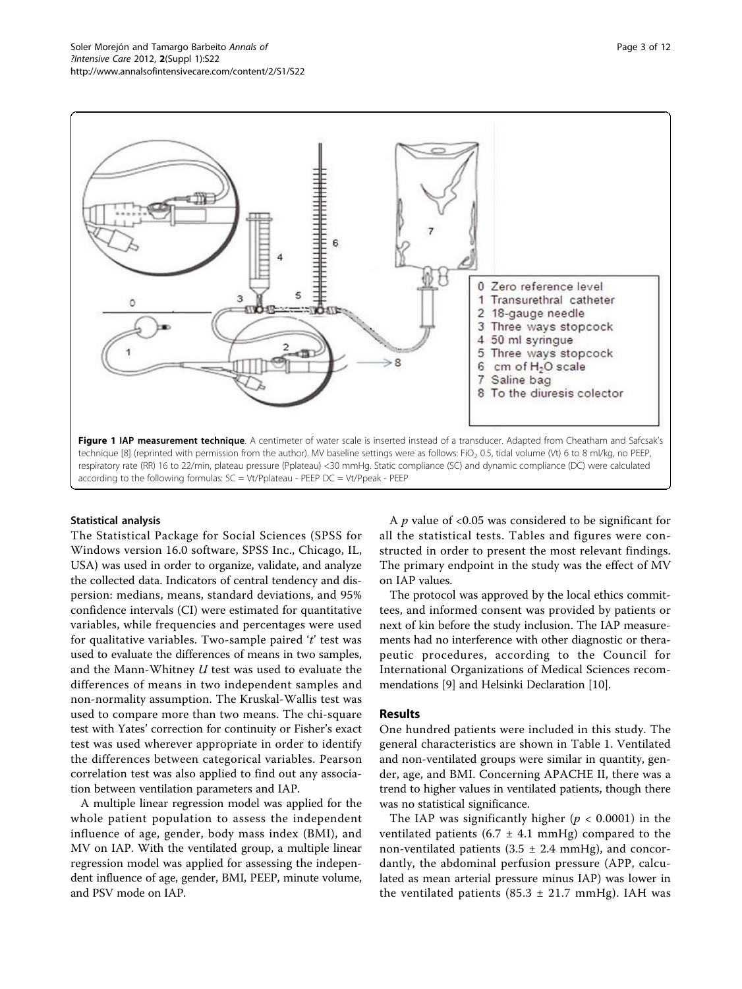<span id="page-2-0"></span>

## Statistical analysis

The Statistical Package for Social Sciences (SPSS for Windows version 16.0 software, SPSS Inc., Chicago, IL, USA) was used in order to organize, validate, and analyze the collected data. Indicators of central tendency and dispersion: medians, means, standard deviations, and 95% confidence intervals (CI) were estimated for quantitative variables, while frequencies and percentages were used for qualitative variables. Two-sample paired  $t'$  test was used to evaluate the differences of means in two samples, and the Mann-Whitney U test was used to evaluate the differences of means in two independent samples and non-normality assumption. The Kruskal-Wallis test was used to compare more than two means. The chi-square test with Yates' correction for continuity or Fisher's exact test was used wherever appropriate in order to identify the differences between categorical variables. Pearson correlation test was also applied to find out any association between ventilation parameters and IAP.

A multiple linear regression model was applied for the whole patient population to assess the independent influence of age, gender, body mass index (BMI), and MV on IAP. With the ventilated group, a multiple linear regression model was applied for assessing the independent influence of age, gender, BMI, PEEP, minute volume, and PSV mode on IAP.

A  $p$  value of <0.05 was considered to be significant for all the statistical tests. Tables and figures were constructed in order to present the most relevant findings. The primary endpoint in the study was the effect of MV on IAP values.

The protocol was approved by the local ethics committees, and informed consent was provided by patients or next of kin before the study inclusion. The IAP measurements had no interference with other diagnostic or therapeutic procedures, according to the Council for International Organizations of Medical Sciences recommendations [\[9\]](#page-10-0) and Helsinki Declaration [[10](#page-10-0)].

# Results

One hundred patients were included in this study. The general characteristics are shown in Table [1](#page-3-0). Ventilated and non-ventilated groups were similar in quantity, gender, age, and BMI. Concerning APACHE II, there was a trend to higher values in ventilated patients, though there was no statistical significance.

The IAP was significantly higher ( $p < 0.0001$ ) in the ventilated patients (6.7  $\pm$  4.1 mmHg) compared to the non-ventilated patients  $(3.5 \pm 2.4 \text{ mmHg})$ , and concordantly, the abdominal perfusion pressure (APP, calculated as mean arterial pressure minus IAP) was lower in the ventilated patients  $(85.3 \pm 21.7 \text{ mmHg})$ . IAH was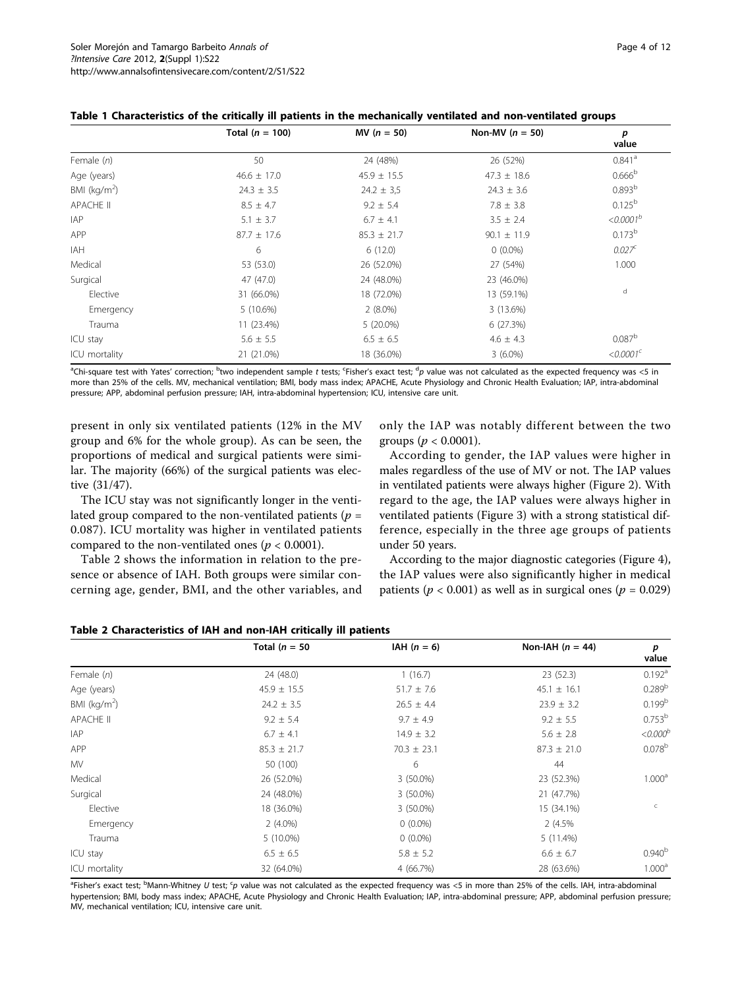|                 | Total $(n = 100)$ | $MV (n = 50)$   | Non-MV $(n = 50)$ | p                     |
|-----------------|-------------------|-----------------|-------------------|-----------------------|
|                 |                   |                 |                   | value                 |
| Female $(n)$    | 50                | 24 (48%)        | 26 (52%)          | $0.841$ <sup>a</sup>  |
| Age (years)     | $46.6 \pm 17.0$   | $45.9 \pm 15.5$ | $47.3 \pm 18.6$   | 0.666 <sup>b</sup>    |
| BMI ( $kg/m2$ ) | $24.3 \pm 3.5$    | $24.2 \pm 3.5$  | $24.3 \pm 3.6$    | 0.893 <sup>b</sup>    |
| APACHE II       | $8.5 \pm 4.7$     | $9.2 \pm 5.4$   | $7.8 \pm 3.8$     | $0.125^{b}$           |
| <b>IAP</b>      | $5.1 \pm 3.7$     | $6.7 \pm 4.1$   | $3.5 \pm 2.4$     | $< 0.0001^b$          |
| <b>APP</b>      | $87.7 \pm 17.6$   | $85.3 \pm 21.7$ | $90.1 \pm 11.9$   | 0.173 <sup>b</sup>    |
| <b>IAH</b>      | 6                 | 6(12.0)         | $0(0.0\%)$        | 0.027c                |
| Medical         | 53 (53.0)         | 26 (52.0%)      | 27 (54%)          | 1.000                 |
| Surgical        | 47 (47.0)         | 24 (48.0%)      | 23 (46.0%)        |                       |
| Elective        | 31 (66.0%)        | 18 (72.0%)      | 13 (59.1%)        | d                     |
| Emergency       | 5(10.6%)          | $2(8.0\%)$      | 3 (13.6%)         |                       |
| Trauma          | 11 (23.4%)        | 5 (20.0%)       | 6 (27.3%)         |                       |
| ICU stay        | $5.6 \pm 5.5$     | $6.5 \pm 6.5$   | $4.6 \pm 4.3$     | 0.087 <sup>b</sup>    |
| ICU mortality   | 21 (21.0%)        | 18 (36.0%)      | $3(6.0\%)$        | $<$ 0.0001 $^{\circ}$ |

<span id="page-3-0"></span>

|  |  |  |  |  |  |  | Table 1 Characteristics of the critically ill patients in the mechanically ventilated and non-ventilated groups |
|--|--|--|--|--|--|--|-----------------------------------------------------------------------------------------------------------------|
|--|--|--|--|--|--|--|-----------------------------------------------------------------------------------------------------------------|

<sup>a</sup>Chi-square test with Yates' correction; <sup>b</sup>two independent sample *t* tests; <sup>c</sup>Fisher's exact test; <sup>d</sup>p value was not calculated as the expected frequency was <5 in more than 25% of the cells. MV, mechanical ventilation; BMI, body mass index; APACHE, Acute Physiology and Chronic Health Evaluation; IAP, intra-abdominal pressure; APP, abdominal perfusion pressure; IAH, intra-abdominal hypertension; ICU, intensive care unit.

present in only six ventilated patients (12% in the MV group and 6% for the whole group). As can be seen, the proportions of medical and surgical patients were similar. The majority (66%) of the surgical patients was elective (31/47).

The ICU stay was not significantly longer in the ventilated group compared to the non-ventilated patients ( $p =$ 0.087). ICU mortality was higher in ventilated patients compared to the non-ventilated ones ( $p < 0.0001$ ).

Table 2 shows the information in relation to the presence or absence of IAH. Both groups were similar concerning age, gender, BMI, and the other variables, and

only the IAP was notably different between the two groups ( $p < 0.0001$ ).

According to gender, the IAP values were higher in males regardless of the use of MV or not. The IAP values in ventilated patients were always higher (Figure [2\)](#page-4-0). With regard to the age, the IAP values were always higher in ventilated patients (Figure [3\)](#page-5-0) with a strong statistical difference, especially in the three age groups of patients under 50 years.

According to the major diagnostic categories (Figure [4](#page-5-0)), the IAP values were also significantly higher in medical patients ( $p < 0.001$ ) as well as in surgical ones ( $p = 0.029$ )

|  | Table 2 Characteristics of IAH and non-IAH critically ill patients |  |  |  |  |
|--|--------------------------------------------------------------------|--|--|--|--|
|--|--------------------------------------------------------------------|--|--|--|--|

|                 | Total ( $n = 50$ | IAH $(n = 6)$   | Non-IAH $(n = 44)$ | p                    |
|-----------------|------------------|-----------------|--------------------|----------------------|
|                 |                  |                 |                    | value                |
| Female $(n)$    | 24 (48.0)        | 1(16.7)         | 23 (52.3)          | $0.192$ <sup>a</sup> |
| Age (years)     | $45.9 \pm 15.5$  | $51.7 \pm 7.6$  | $45.1 \pm 16.1$    | 0.289 <sup>b</sup>   |
| BMI ( $kg/m2$ ) | $24.2 \pm 3.5$   | $26.5 \pm 4.4$  | $23.9 \pm 3.2$     | 0.199 <sup>b</sup>   |
| APACHE II       | $9.2 \pm 5.4$    | $9.7 \pm 4.9$   | $9.2 \pm 5.5$      | 0.753 <sup>b</sup>   |
| <b>IAP</b>      | $6.7 \pm 4.1$    | $14.9 \pm 3.2$  | $5.6 \pm 2.8$      | $<,0.000^b$          |
| APP             | $85.3 \pm 21.7$  | $70.3 \pm 23.1$ | $87.3 \pm 21.0$    | 0.078 <sup>b</sup>   |
| MV              | 50 (100)         | 6               | 44                 |                      |
| Medical         | 26 (52.0%)       | $3(50.0\%)$     | 23 (52.3%)         | 1.000 <sup>a</sup>   |
| Surgical        | 24 (48.0%)       | $3(50.0\%)$     | 21 (47.7%)         |                      |
| Elective        | 18 (36.0%)       | $3(50.0\%)$     | 15 (34.1%)         | $\subset$            |
| Emergency       | $2(4.0\%)$       | $0(0.0\%)$      | 2 (4.5%)           |                      |
| Trauma          | $5(10.0\%)$      | $0(0.0\%)$      | 5(11.4%)           |                      |
| ICU stay        | $6.5 \pm 6.5$    | $5.8 \pm 5.2$   | $6.6 \pm 6.7$      | 0.940 <sup>b</sup>   |
| ICU mortality   | 32 (64.0%)       | 4 (66.7%)       | 28 (63.6%)         | 1.000 <sup>a</sup>   |

<sup>a</sup>Fisher's exact test; <sup>b</sup>Mann-Whitney U test; <sup>c</sup>p value was not calculated as the expected frequency was <5 in more than 25% of the cells. IAH, intra-abdominal hypertension; BMI, body mass index; APACHE, Acute Physiology and Chronic Health Evaluation; IAP, intra-abdominal pressure; APP, abdominal perfusion pressure; MV, mechanical ventilation; ICU, intensive care unit.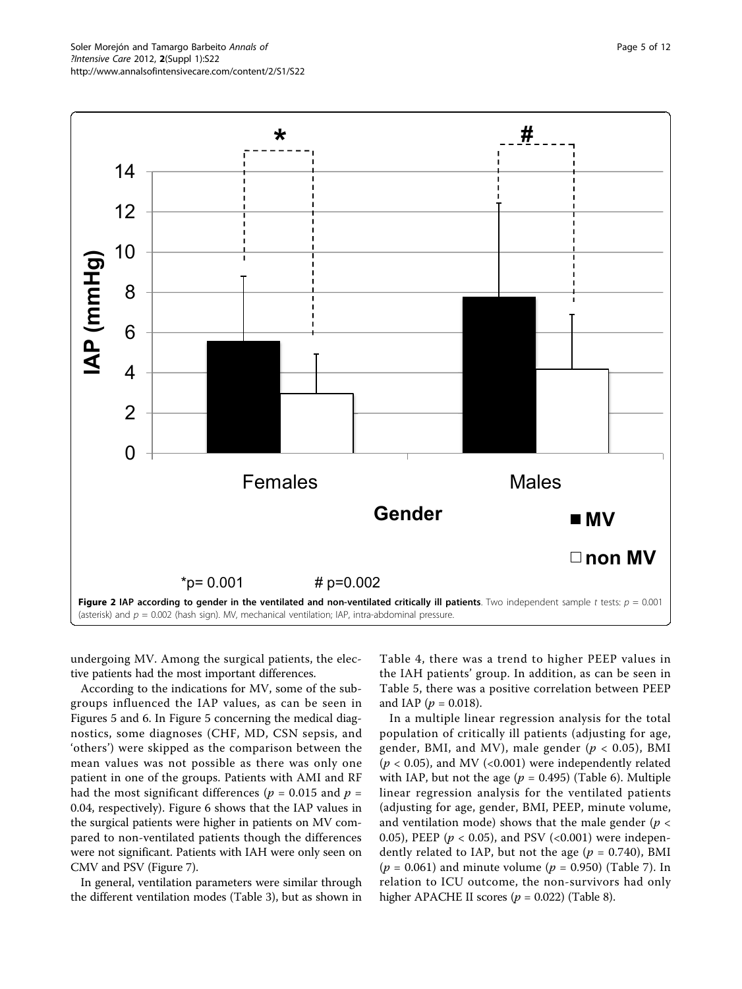<span id="page-4-0"></span>

undergoing MV. Among the surgical patients, the elective patients had the most important differences.

According to the indications for MV, some of the subgroups influenced the IAP values, as can be seen in Figures [5](#page-6-0) and [6](#page-6-0). In Figure [5](#page-6-0) concerning the medical diagnostics, some diagnoses (CHF, MD, CSN sepsis, and 'others') were skipped as the comparison between the mean values was not possible as there was only one patient in one of the groups. Patients with AMI and RF had the most significant differences ( $p = 0.015$  and  $p =$ 0.04, respectively). Figure [6](#page-6-0) shows that the IAP values in the surgical patients were higher in patients on MV compared to non-ventilated patients though the differences were not significant. Patients with IAH were only seen on CMV and PSV (Figure [7](#page-7-0)).

In general, ventilation parameters were similar through the different ventilation modes (Table [3](#page-7-0)), but as shown in Table [4,](#page-8-0) there was a trend to higher PEEP values in the IAH patients' group. In addition, as can be seen in Table [5,](#page-8-0) there was a positive correlation between PEEP and IAP ( $p = 0.018$ ).

In a multiple linear regression analysis for the total population of critically ill patients (adjusting for age, gender, BMI, and MV), male gender ( $p < 0.05$ ), BMI  $(p < 0.05)$ , and MV (<0.001) were independently related with IAP, but not the age ( $p = 0.495$ ) (Table [6](#page-8-0)). Multiple linear regression analysis for the ventilated patients (adjusting for age, gender, BMI, PEEP, minute volume, and ventilation mode) shows that the male gender ( $p <$ 0.05), PEEP ( $p < 0.05$ ), and PSV (<0.001) were independently related to IAP, but not the age ( $p = 0.740$ ), BMI  $(p = 0.061)$  and minute volume  $(p = 0.950)$  (Table [7](#page-8-0)). In relation to ICU outcome, the non-survivors had only higher APACHE II scores ( $p = 0.022$ ) (Table [8](#page-9-0)).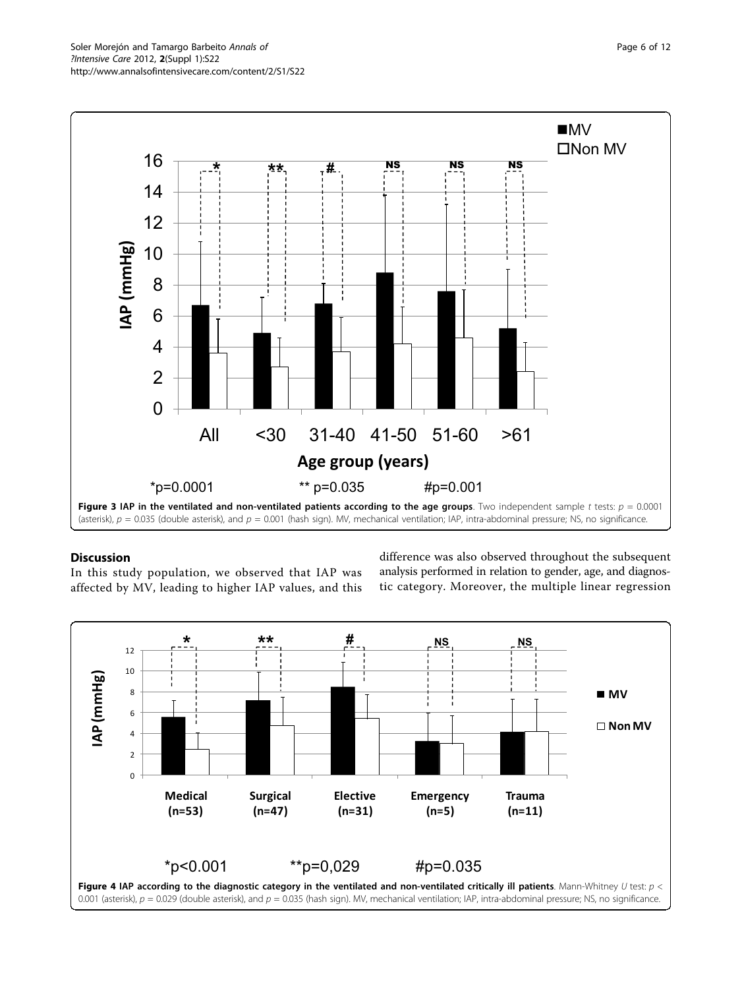<span id="page-5-0"></span>

# **Discussion**

In this study population, we observed that IAP was affected by MV, leading to higher IAP values, and this difference was also observed throughout the subsequent analysis performed in relation to gender, age, and diagnostic category. Moreover, the multiple linear regression

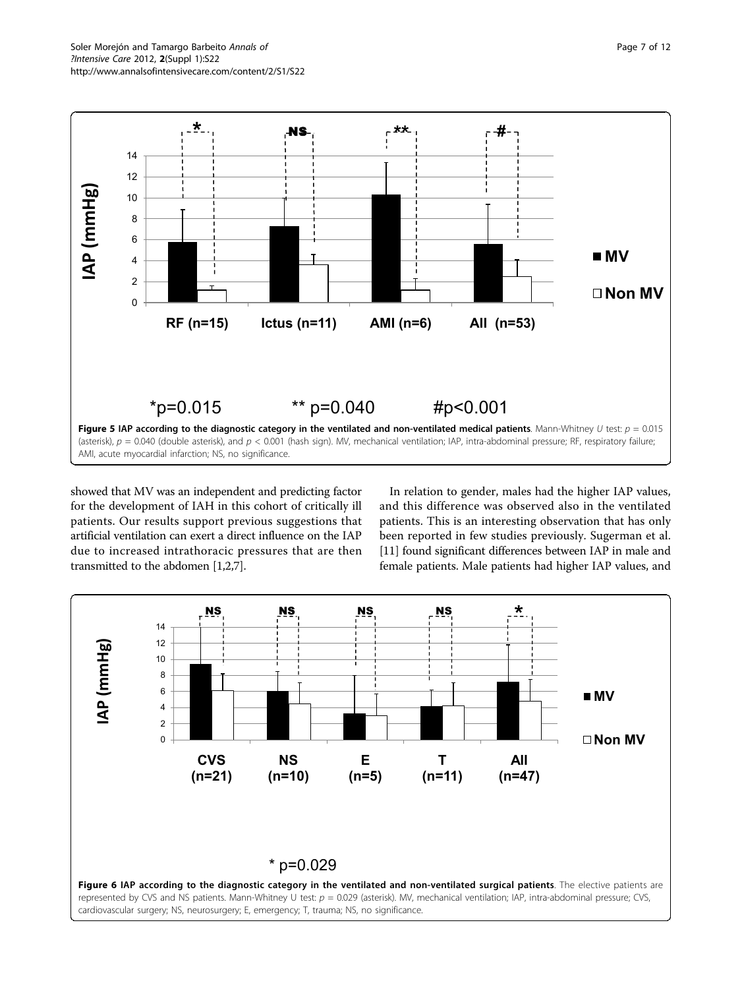<span id="page-6-0"></span>

showed that MV was an independent and predicting factor for the development of IAH in this cohort of critically ill patients. Our results support previous suggestions that artificial ventilation can exert a direct influence on the IAP due to increased intrathoracic pressures that are then transmitted to the abdomen [\[1,2,7](#page-10-0)].

In relation to gender, males had the higher IAP values, and this difference was observed also in the ventilated patients. This is an interesting observation that has only been reported in few studies previously. Sugerman et al. [[11](#page-10-0)] found significant differences between IAP in male and female patients. Male patients had higher IAP values, and

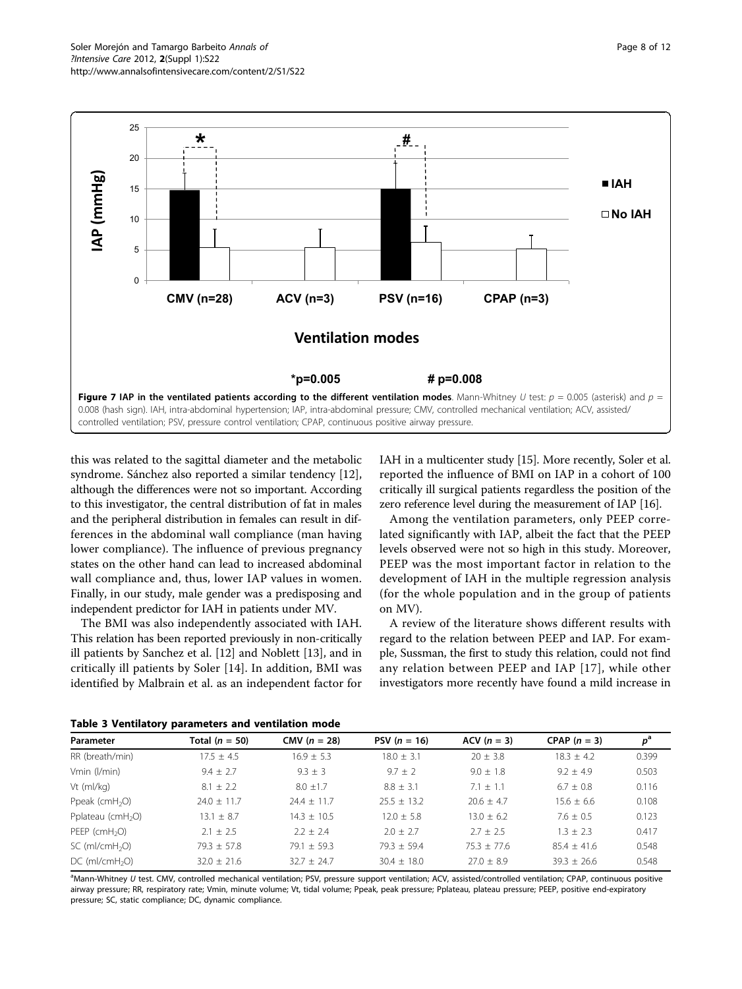<span id="page-7-0"></span>

this was related to the sagittal diameter and the metabolic syndrome. Sánchez also reported a similar tendency [\[12](#page-10-0)], although the differences were not so important. According to this investigator, the central distribution of fat in males and the peripheral distribution in females can result in differences in the abdominal wall compliance (man having lower compliance). The influence of previous pregnancy states on the other hand can lead to increased abdominal wall compliance and, thus, lower IAP values in women. Finally, in our study, male gender was a predisposing and independent predictor for IAH in patients under MV.

The BMI was also independently associated with IAH. This relation has been reported previously in non-critically ill patients by Sanchez et al. [\[12\]](#page-10-0) and Noblett [[13\]](#page-10-0), and in critically ill patients by Soler [\[14](#page-10-0)]. In addition, BMI was identified by Malbrain et al. as an independent factor for IAH in a multicenter study [\[15\]](#page-10-0). More recently, Soler et al. reported the influence of BMI on IAP in a cohort of 100 critically ill surgical patients regardless the position of the zero reference level during the measurement of IAP [[16](#page-10-0)].

Among the ventilation parameters, only PEEP correlated significantly with IAP, albeit the fact that the PEEP levels observed were not so high in this study. Moreover, PEEP was the most important factor in relation to the development of IAH in the multiple regression analysis (for the whole population and in the group of patients on MV).

A review of the literature shows different results with regard to the relation between PEEP and IAP. For example, Sussman, the first to study this relation, could not find any relation between PEEP and IAP [[17\]](#page-10-0), while other investigators more recently have found a mild increase in

|  | Table 3 Ventilatory parameters and ventilation mode |  |  |  |
|--|-----------------------------------------------------|--|--|--|
|--|-----------------------------------------------------|--|--|--|

|                              | TUBIC 3 TEMMINION PRIMINICIOS MIN TEMMINION MONC |                 |                 |                |                 |             |
|------------------------------|--------------------------------------------------|-----------------|-----------------|----------------|-----------------|-------------|
| Parameter                    | Total $(n = 50)$                                 | $CMV (n = 28)$  | PSV $(n = 16)$  | $ACV (n = 3)$  | CPAP $(n = 3)$  | $p^{\rm a}$ |
| RR (breath/min)              | $17.5 + 4.5$                                     | $16.9 + 5.3$    | $18.0 + 3.1$    | $20 + 3.8$     | $18.3 + 4.2$    | 0.399       |
| Vmin (l/min)                 | $9.4 \pm 2.7$                                    | $9.3 \pm 3$     | $9.7 \pm 2$     | $9.0 \pm 1.8$  | $9.2 + 4.9$     | 0.503       |
| Vt $(mI/kg)$                 | $8.1 \pm 2.2$                                    | $8.0 + 1.7$     | $8.8 + 3.1$     | $7.1 + 1.1$    | $6.7 + 0.8$     | 0.116       |
| Ppeak $(cmH2O)$              | $74.0 + 11.7$                                    | $24.4 \pm 11.7$ | $25.5 \pm 13.2$ | $20.6 + 4.7$   | $15.6 + 6.6$    | 0.108       |
| Pplateau ( $cmH2O$ )         | $13.1 + 8.7$                                     | $14.3 \pm 10.5$ | $12.0 \pm 5.8$  | $13.0 \pm 6.2$ | $7.6 + 0.5$     | 0.123       |
| $PEEP$ (cmH <sub>2</sub> O)  | $2.1 \pm 2.5$                                    | $2.2 \pm 2.4$   | $2.0 + 2.7$     | $2.7 \pm 2.5$  | $1.3 + 2.3$     | 0.417       |
| $SC$ (ml/cmH <sub>2</sub> O) | $79.3 + 57.8$                                    | $79.1 + 59.3$   | $79.3 + 59.4$   | $75.3 + 77.6$  | $85.4 + 41.6$   | 0.548       |
| $DC$ (ml/cmH <sub>2</sub> O) | $32.0 + 21.6$                                    | $32.7 + 24.7$   | $30.4 \pm 18.0$ | $27.0 + 8.9$   | $39.3 \pm 26.6$ | 0.548       |
|                              |                                                  |                 |                 |                |                 |             |

<sup>a</sup>Mann-Whitney U test. CMV, controlled mechanical ventilation; PSV, pressure support ventilation; ACV, assisted/controlled ventilation; CPAP, continuous positive airway pressure; RR, respiratory rate; Vmin, minute volume; Vt, tidal volume; Ppeak, peak pressure; Pplateau, plateau pressure; PEEP, positive end-expiratory pressure; SC, static compliance; DC, dynamic compliance.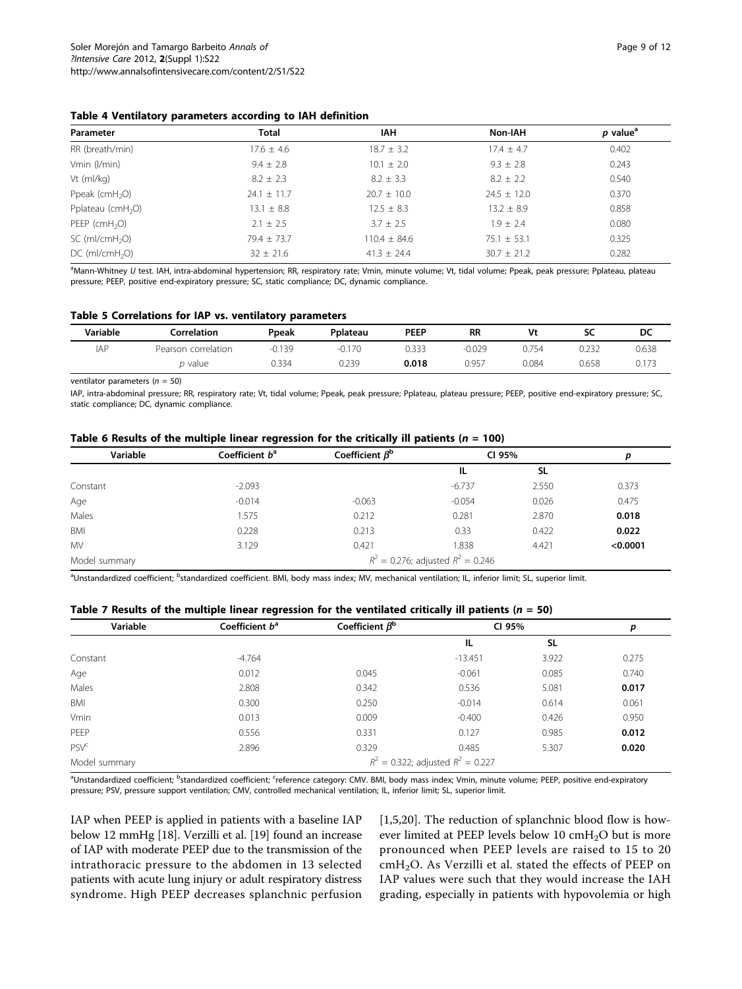<span id="page-8-0"></span>

| Table 4 Ventilatory parameters according to IAH definition |  |  |  |  |
|------------------------------------------------------------|--|--|--|--|
|------------------------------------------------------------|--|--|--|--|

| Parameter                    | <b>Total</b>    | <b>IAH</b>       | Non-IAH         | <i>p</i> value <sup>a</sup> |
|------------------------------|-----------------|------------------|-----------------|-----------------------------|
| RR (breath/min)              | $17.6 \pm 4.6$  | $18.7 \pm 3.2$   | $17.4 \pm 4.7$  | 0.402                       |
| Vmin (I/min)                 | $9.4 \pm 2.8$   | $10.1 \pm 2.0$   | $9.3 \pm 2.8$   | 0.243                       |
| Vt (ml/kg)                   | $8.2 \pm 2.3$   | $8.2 \pm 3.3$    | $8.2 \pm 2.2$   | 0.540                       |
| Ppeak (cmH <sub>2</sub> O)   | $24.1 \pm 11.7$ | $20.7 \pm 10.0$  | $24.5 \pm 12.0$ | 0.370                       |
| Pplateau ( $cmH2O$ )         | $13.1 \pm 8.8$  | $12.5 \pm 8.3$   | $13.2 \pm 8.9$  | 0.858                       |
| PEEP $(cmH2O)$               | $2.1 \pm 2.5$   | $3.7 \pm 2.5$    | $1.9 \pm 2.4$   | 0.080                       |
| $SC$ (ml/cmH <sub>2</sub> O) | $79.4 \pm 73.7$ | $110.4 \pm 84.6$ | $75.1 \pm 53.1$ | 0.325                       |
| $DC$ (ml/cmH <sub>2</sub> O) | $32 \pm 21.6$   | $41.3 \pm 24.4$  | $30.7 \pm 21.2$ | 0.282                       |

a<br>Mann-Whitney U test. IAH, intra-abdominal hypertension; RR, respiratory rate; Vmin, minute volume; Vt, tidal volume; Ppeak, peak pressure; Pplateau, plateau pressure; PEEP, positive end-expiratory pressure; SC, static compliance; DC, dynamic compliance.

#### Table 5 Correlations for IAP vs. ventilatory parameters

| Variable   | Correlation         | Ppeak    | Pplateau | <b>PEEP</b> | <b>RR</b> | Vt    | SC    | DC    |
|------------|---------------------|----------|----------|-------------|-----------|-------|-------|-------|
| <b>IAP</b> | Pearson correlation | $-0.139$ | .170     | 0.333       | $-0.029$  | ).754 | 0.232 | 0.638 |
|            | p value             | 0.334    | 0.239    | 0.018       | 0.957     | 0.084 | 0.658 | 0.173 |

ventilator parameters ( $n = 50$ )

IAP, intra-abdominal pressure; RR, respiratory rate; Vt, tidal volume; Ppeak, peak pressure; Pplateau, plateau pressure; PEEP, positive end-expiratory pressure; SC, static compliance; DC, dynamic compliance.

## Table 6 Results of the multiple linear regression for the critically ill patients ( $n = 100$ )

| Variable      | Coefficient b <sup>a</sup> | Coefficient $\beta^{\rm b}$ |                                       | CI 95%    | р        |
|---------------|----------------------------|-----------------------------|---------------------------------------|-----------|----------|
|               |                            |                             | IL                                    | <b>SL</b> |          |
| Constant      | $-2.093$                   |                             | $-6.737$                              | 2.550     | 0.373    |
| Age           | $-0.014$                   | $-0.063$                    | $-0.054$                              | 0.026     | 0.475    |
| Males         | 1.575                      | 0.212                       | 0.281                                 | 2.870     | 0.018    |
| BMI           | 0.228                      | 0.213                       | 0.33                                  | 0.422     | 0.022    |
| <b>MV</b>     | 3.129                      | 0.421                       | 1.838                                 | 4.421     | < 0.0001 |
| Model summary |                            |                             | $R^2$ = 0.276; adjusted $R^2$ = 0.246 |           |          |

<sup>a</sup>Unstandardized coefficient; <sup>b</sup>standardized coefficient. BMI, body mass index; MV, mechanical ventilation; IL, inferior limit; SL, superior limit

# Table 7 Results of the multiple linear regression for the ventilated critically ill patients ( $n = 50$ )

| Variable               | Coefficient b <sup>a</sup> | Coefficient $\beta^{\rm b}$ | CI 95%                                |           | р     |
|------------------------|----------------------------|-----------------------------|---------------------------------------|-----------|-------|
|                        |                            |                             | IL                                    | <b>SL</b> |       |
| Constant               | $-4.764$                   |                             | $-13.451$                             | 3.922     | 0.275 |
| Age                    | 0.012                      | 0.045                       | $-0.061$                              | 0.085     | 0.740 |
| Males                  | 2.808                      | 0.342                       | 0.536                                 | 5.081     | 0.017 |
| <b>BMI</b>             | 0.300                      | 0.250                       | $-0.014$                              | 0.614     | 0.061 |
| Vmin                   | 0.013                      | 0.009                       | $-0.400$                              | 0.426     | 0.950 |
| PEEP                   | 0.556                      | 0.331                       | 0.127                                 | 0.985     | 0.012 |
| <b>PSV<sup>c</sup></b> | 2.896                      | 0.329                       | 0.485                                 | 5.307     | 0.020 |
| Model summary          |                            |                             | $R^2$ = 0.322; adjusted $R^2$ = 0.227 |           |       |

<sup>a</sup>Unstandardized coefficient; <sup>b</sup>standardized coefficient; <sup>c</sup>reference category: CMV. BMI, body mass index; Vmin, minute volume; PEEP, positive end-expiratory pressure; PSV, pressure support ventilation; CMV, controlled mechanical ventilation; IL, inferior limit; SL, superior limit.

IAP when PEEP is applied in patients with a baseline IAP below 12 mmHg [[18](#page-10-0)]. Verzilli et al. [[19](#page-10-0)] found an increase of IAP with moderate PEEP due to the transmission of the intrathoracic pressure to the abdomen in 13 selected patients with acute lung injury or adult respiratory distress syndrome. High PEEP decreases splanchnic perfusion

[[1,5,20](#page-10-0)]. The reduction of splanchnic blood flow is however limited at PEEP levels below 10 cmH<sub>2</sub>O but is more pronounced when PEEP levels are raised to 15 to 20 cmH2O. As Verzilli et al. stated the effects of PEEP on IAP values were such that they would increase the IAH grading, especially in patients with hypovolemia or high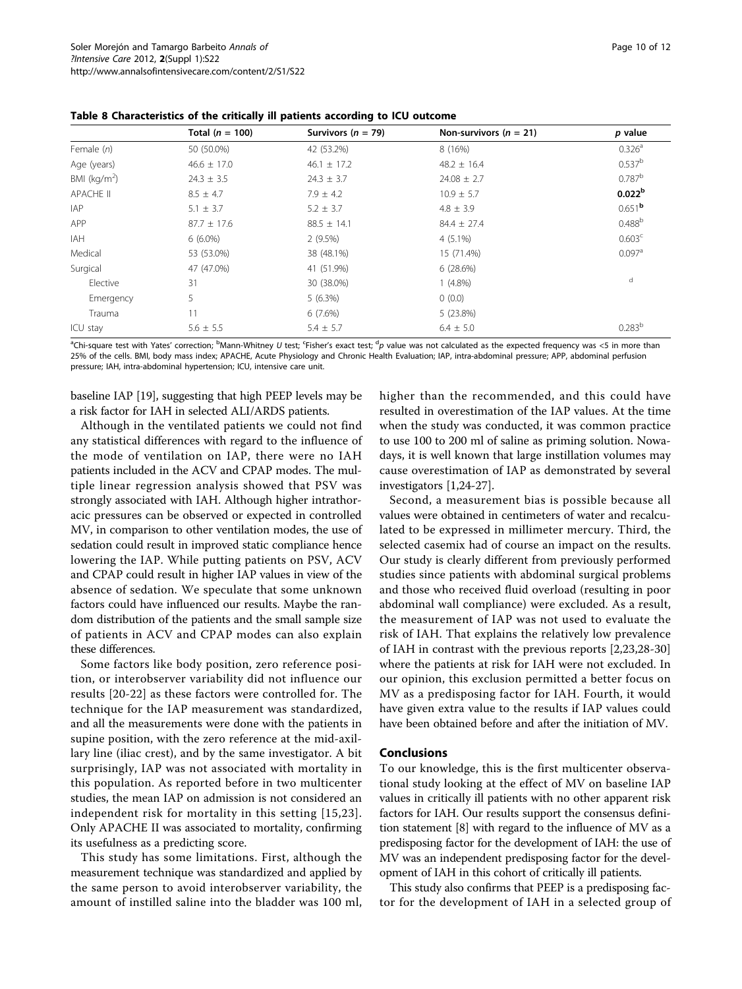|                          | Total $(n = 100)$ | Survivors ( $n = 79$ ) | Non-survivors ( $n = 21$ ) | p value              |
|--------------------------|-------------------|------------------------|----------------------------|----------------------|
| Female (n)               | 50 (50.0%)        | 42 (53.2%)             | 8 (16%)                    | 0.326 <sup>a</sup>   |
| Age (years)              | $46.6 \pm 17.0$   | $46.1 \pm 17.2$        | $48.2 \pm 16.4$            | 0.537 <sup>b</sup>   |
| BMI (kg/m <sup>2</sup> ) | $24.3 \pm 3.5$    | $24.3 \pm 3.7$         | $24.08 \pm 2.7$            | $0.787^b$            |
| APACHE II                | $8.5 \pm 4.7$     | $7.9 \pm 4.2$          | $10.9 \pm 5.7$             | 0.022 <sup>b</sup>   |
| <b>IAP</b>               | $5.1 \pm 3.7$     | $5.2 \pm 3.7$          | $4.8 \pm 3.9$              | $0.651$ <sup>b</sup> |
| APP                      | $87.7 \pm 17.6$   | $88.5 \pm 14.1$        | $84.4 \pm 27.4$            | 0.488 <sup>b</sup>   |
| <b>IAH</b>               | $6(6.0\%)$        | $2(9.5\%)$             | $4(5.1\%)$                 | 0.603 <sup>c</sup>   |
| Medical                  | 53 (53.0%)        | 38 (48.1%)             | 15 (71.4%)                 | $0.097$ <sup>a</sup> |
| Surgical                 | 47 (47.0%)        | 41 (51.9%)             | 6(28.6%)                   |                      |
| Elective                 | 31                | 30 (38.0%)             | $1(4.8\%)$                 | d                    |
| Emergency                | 5                 | 5(6.3%)                | 0(0.0)                     |                      |
| Trauma                   | 11                | $6(7.6\%)$             | 5 (23.8%)                  |                      |
| ICU stay                 | $5.6 \pm 5.5$     | $5.4 \pm 5.7$          | $6.4 \pm 5.0$              | $0.283^{b}$          |

<span id="page-9-0"></span>Table 8 Characteristics of the critically ill patients according to ICU outcome

<sup>a</sup>Chi-square test with Yates' correction; <sup>b</sup>Mann-Whitney U test; <sup>c</sup>Fisher's exact test; <sup>d</sup>p value was not calculated as the expected frequency was <5 in more than 25% of the cells. BMI, body mass index; APACHE, Acute Physiology and Chronic Health Evaluation; IAP, intra-abdominal pressure; APP, abdominal perfusion pressure; IAH, intra-abdominal hypertension; ICU, intensive care unit.

baseline IAP [[19](#page-10-0)], suggesting that high PEEP levels may be a risk factor for IAH in selected ALI/ARDS patients.

Although in the ventilated patients we could not find any statistical differences with regard to the influence of the mode of ventilation on IAP, there were no IAH patients included in the ACV and CPAP modes. The multiple linear regression analysis showed that PSV was strongly associated with IAH. Although higher intrathoracic pressures can be observed or expected in controlled MV, in comparison to other ventilation modes, the use of sedation could result in improved static compliance hence lowering the IAP. While putting patients on PSV, ACV and CPAP could result in higher IAP values in view of the absence of sedation. We speculate that some unknown factors could have influenced our results. Maybe the random distribution of the patients and the small sample size of patients in ACV and CPAP modes can also explain these differences.

Some factors like body position, zero reference position, or interobserver variability did not influence our results [[20-22](#page-10-0)] as these factors were controlled for. The technique for the IAP measurement was standardized, and all the measurements were done with the patients in supine position, with the zero reference at the mid-axillary line (iliac crest), and by the same investigator. A bit surprisingly, IAP was not associated with mortality in this population. As reported before in two multicenter studies, the mean IAP on admission is not considered an independent risk for mortality in this setting [[15,23\]](#page-10-0). Only APACHE II was associated to mortality, confirming its usefulness as a predicting score.

This study has some limitations. First, although the measurement technique was standardized and applied by the same person to avoid interobserver variability, the amount of instilled saline into the bladder was 100 ml, higher than the recommended, and this could have resulted in overestimation of the IAP values. At the time when the study was conducted, it was common practice to use 100 to 200 ml of saline as priming solution. Nowadays, it is well known that large instillation volumes may cause overestimation of IAP as demonstrated by several investigators [[1](#page-10-0),[24](#page-10-0)-[27\]](#page-10-0).

Second, a measurement bias is possible because all values were obtained in centimeters of water and recalculated to be expressed in millimeter mercury. Third, the selected casemix had of course an impact on the results. Our study is clearly different from previously performed studies since patients with abdominal surgical problems and those who received fluid overload (resulting in poor abdominal wall compliance) were excluded. As a result, the measurement of IAP was not used to evaluate the risk of IAH. That explains the relatively low prevalence of IAH in contrast with the previous reports [[2,23,](#page-10-0)[28-30](#page-11-0)] where the patients at risk for IAH were not excluded. In our opinion, this exclusion permitted a better focus on MV as a predisposing factor for IAH. Fourth, it would have given extra value to the results if IAP values could have been obtained before and after the initiation of MV.

# Conclusions

To our knowledge, this is the first multicenter observational study looking at the effect of MV on baseline IAP values in critically ill patients with no other apparent risk factors for IAH. Our results support the consensus definition statement [[8\]](#page-10-0) with regard to the influence of MV as a predisposing factor for the development of IAH: the use of MV was an independent predisposing factor for the development of IAH in this cohort of critically ill patients.

This study also confirms that PEEP is a predisposing factor for the development of IAH in a selected group of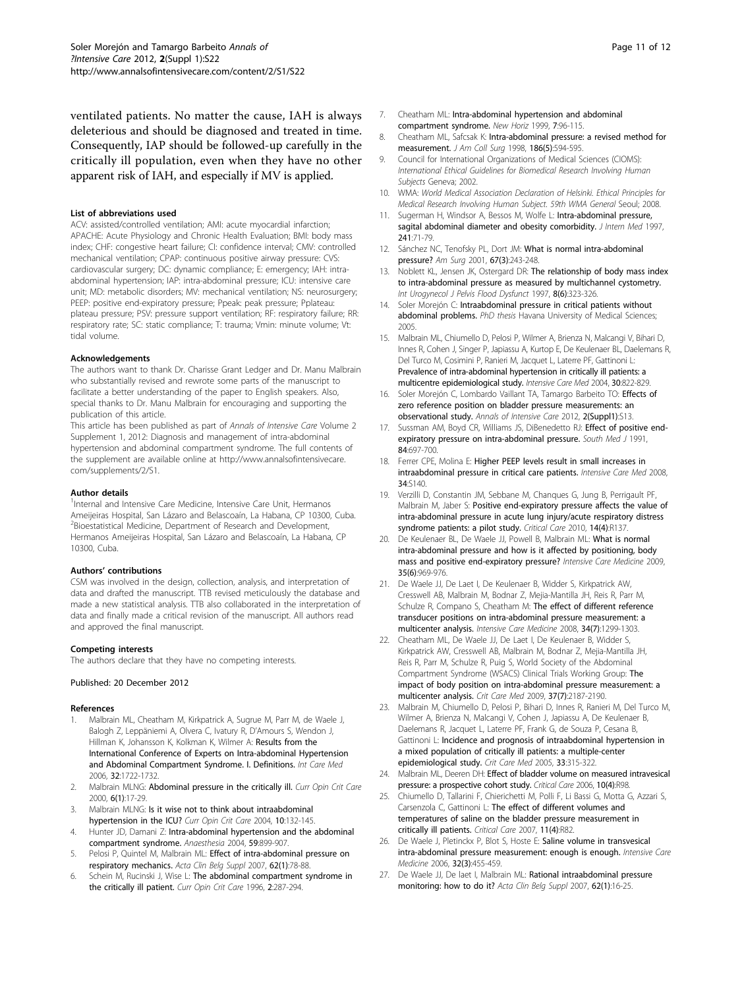<span id="page-10-0"></span>ventilated patients. No matter the cause, IAH is always deleterious and should be diagnosed and treated in time. Consequently, IAP should be followed-up carefully in the critically ill population, even when they have no other apparent risk of IAH, and especially if MV is applied.

#### List of abbreviations used

ACV: assisted/controlled ventilation; AMI: acute myocardial infarction; APACHE: Acute Physiology and Chronic Health Evaluation; BMI: body mass index; CHF: congestive heart failure; CI: confidence interval; CMV: controlled mechanical ventilation; CPAP: continuous positive airway pressure: CVS: cardiovascular surgery; DC: dynamic compliance; E: emergency; IAH: intraabdominal hypertension; IAP: intra-abdominal pressure; ICU: intensive care unit; MD: metabolic disorders; MV: mechanical ventilation; NS: neurosurgery; PEEP: positive end-expiratory pressure; Ppeak: peak pressure; Pplateau: plateau pressure; PSV: pressure support ventilation; RF: respiratory failure; RR: respiratory rate; SC: static compliance; T: trauma; Vmin: minute volume; Vt: tidal volume.

#### Acknowledgements

The authors want to thank Dr. Charisse Grant Ledger and Dr. Manu Malbrain who substantially revised and rewrote some parts of the manuscript to facilitate a better understanding of the paper to English speakers. Also, special thanks to Dr. Manu Malbrain for encouraging and supporting the publication of this article.

This article has been published as part of Annals of Intensive Care Volume 2 Supplement 1, 2012: Diagnosis and management of intra-abdominal hypertension and abdominal compartment syndrome. The full contents of the supplement are available online at [http://www.annalsofintensivecare.](http://www.annalsofintensivecare.com/supplements/2/S1) [com/supplements/2/S1.](http://www.annalsofintensivecare.com/supplements/2/S1)

#### Author details

<sup>1</sup>Internal and Intensive Care Medicine, Intensive Care Unit, Hermanos Ameijeiras Hospital, San Lázaro and Belascoaín, La Habana, CP 10300, Cuba. <sup>2</sup> Bioestatistical Medicine, Department of Research and Development, Hermanos Ameijeiras Hospital, San Lázaro and Belascoaín, La Habana, CP 10300, Cuba.

#### Authors' contributions

CSM was involved in the design, collection, analysis, and interpretation of data and drafted the manuscript. TTB revised meticulously the database and made a new statistical analysis. TTB also collaborated in the interpretation of data and finally made a critical revision of the manuscript. All authors read and approved the final manuscript.

#### Competing interests

The authors declare that they have no competing interests.

#### Published: 20 December 2012

#### References

- 1. Malbrain ML, Cheatham M, Kirkpatrick A, Sugrue M, Parr M, de Waele J, Balogh Z, Leppäniemi A, Olvera C, Ivatury R, D'Amours S, Wendon J, Hillman K, Johansson K, Kolkman K, Wilmer A: [Results from the](http://www.ncbi.nlm.nih.gov/pubmed/16967294?dopt=Abstract) [International Conference of Experts on Intra-abdominal Hypertension](http://www.ncbi.nlm.nih.gov/pubmed/16967294?dopt=Abstract) [and Abdominal Compartment Syndrome. I. Definitions.](http://www.ncbi.nlm.nih.gov/pubmed/16967294?dopt=Abstract) Int Care Med 2006, 32:1722-1732.
- 2. Malbrain MLNG: Abdominal pressure in the critically ill. Curr Opin Crit Care 2000, 6(1):17-29.
- 3. Malbrain MLNG: [Is it wise not to think about intraabdominal](http://www.ncbi.nlm.nih.gov/pubmed/15075724?dopt=Abstract) [hypertension in the ICU?](http://www.ncbi.nlm.nih.gov/pubmed/15075724?dopt=Abstract) Curr Opin Crit Care 2004, 10:132-145.
- 4. Hunter JD, Damani Z: [Intra-abdominal hypertension and the abdominal](http://www.ncbi.nlm.nih.gov/pubmed/15310355?dopt=Abstract) [compartment syndrome.](http://www.ncbi.nlm.nih.gov/pubmed/15310355?dopt=Abstract) Anaesthesia 2004, 59:899-907.
- 5. Pelosi P, Quintel M, Malbrain ML: [Effect of intra-abdominal pressure on](http://www.ncbi.nlm.nih.gov/pubmed/17469705?dopt=Abstract) [respiratory mechanics.](http://www.ncbi.nlm.nih.gov/pubmed/17469705?dopt=Abstract) Acta Clin Belg Suppl 2007, 62(1):78-88.
- Schein M, Rucinski J, Wise L: The abdominal compartment syndrome in the critically ill patient. Curr Opin Crit Care 1996, 2:287-294.
- compartment syndrome. New Horiz 1999, 7:96-115. 8. Cheatham ML, Safcsak K: [Intra-abdominal pressure: a revised method for](http://www.ncbi.nlm.nih.gov/pubmed/9583702?dopt=Abstract)
- [measurement.](http://www.ncbi.nlm.nih.gov/pubmed/9583702?dopt=Abstract) J Am Coll Surg 1998, 186(5):594-595. 9. Council for International Organizations of Medical Sciences (CIOMS):
- International Ethical Guidelines for Biomedical Research Involving Human Subjects Geneva; 2002.
- 10. WMA: World Medical Association Declaration of Helsinki. Ethical Principles for Medical Research Involving Human Subject. 59th WMA General Seoul; 2008.
- 11. Sugerman H, Windsor A, Bessos M, Wolfe L: [Intra-abdominal pressure,](http://www.ncbi.nlm.nih.gov/pubmed/9042096?dopt=Abstract) [sagital abdominal diameter and obesity comorbidity.](http://www.ncbi.nlm.nih.gov/pubmed/9042096?dopt=Abstract) J Intern Med 1997, 241:71-79.
- 12. Sánchez NC, Tenofsky PL, Dort JM: [What is normal intra-abdominal](http://www.ncbi.nlm.nih.gov/pubmed/11270882?dopt=Abstract) [pressure?](http://www.ncbi.nlm.nih.gov/pubmed/11270882?dopt=Abstract) Am Surg 2001, 67(3):243-248.
- 13. Noblett KL, Jensen JK, Ostergard DR: [The relationship of body mass index](http://www.ncbi.nlm.nih.gov/pubmed/9609328?dopt=Abstract) [to intra-abdominal pressure as measured by multichannel cystometry.](http://www.ncbi.nlm.nih.gov/pubmed/9609328?dopt=Abstract) Int Urogynecol J Pelvis Flood Dysfunct 1997, 8(6):323-326.
- 14. Soler Morejón C: Intraabdominal pressure in critical patients without abdominal problems. PhD thesis Havana University of Medical Sciences; 2005.
- 15. Malbrain ML, Chiumello D, Pelosi P, Wilmer A, Brienza N, Malcangi V, Bihari D, Innes R, Cohen J, Singer P, Japiassu A, Kurtop E, De Keulenaer BL, Daelemans R, Del Turco M, Cosimini P, Ranieri M, Jacquet L, Laterre PF, Gattinoni L: [Prevalence of intra-abdominal hypertension in critically ill patients: a](http://www.ncbi.nlm.nih.gov/pubmed/14758472?dopt=Abstract) [multicentre epidemiological study.](http://www.ncbi.nlm.nih.gov/pubmed/14758472?dopt=Abstract) Intensive Care Med 2004, 30:822-829.
- 16. Soler Morejón C, Lombardo Vaillant TA, Tamargo Barbeito TO: [Effects of](http://www.ncbi.nlm.nih.gov/pubmed/22873414?dopt=Abstract) zero [reference position on bladder pressure measurements: an](http://www.ncbi.nlm.nih.gov/pubmed/22873414?dopt=Abstract) [observational study.](http://www.ncbi.nlm.nih.gov/pubmed/22873414?dopt=Abstract) Annals of Intensive Care 2012, 2(Suppl1):S13.
- 17. Sussman AM, Boyd CR, Williams JS, DiBenedetto RJ: [Effect of positive end](http://www.ncbi.nlm.nih.gov/pubmed/2052956?dopt=Abstract)[expiratory pressure on intra-abdominal pressure.](http://www.ncbi.nlm.nih.gov/pubmed/2052956?dopt=Abstract) South Med J 1991, 84:697-700.
- 18. Ferrer CPE, Molina E: Higher PEEP levels result in small increases in intraabdominal pressure in critical care patients. Intensive Care Med 2008, 34:S140.
- 19. Verzilli D, Constantin JM, Sebbane M, Chanques G, Jung B, Perrigault PF, Malbrain M, Jaber S: [Positive end-expiratory pressure affects the value of](http://www.ncbi.nlm.nih.gov/pubmed/20663183?dopt=Abstract) [intra-abdominal pressure in acute lung injury/acute respiratory distress](http://www.ncbi.nlm.nih.gov/pubmed/20663183?dopt=Abstract) [syndrome patients: a pilot study.](http://www.ncbi.nlm.nih.gov/pubmed/20663183?dopt=Abstract) Critical Care 2010, 14(4):R137.
- 20. De Keulenaer BL, De Waele JJ, Powell B, Malbrain ML: [What is normal](http://www.ncbi.nlm.nih.gov/pubmed/19242675?dopt=Abstract) [intra-abdominal pressure and how is it affected by positioning, body](http://www.ncbi.nlm.nih.gov/pubmed/19242675?dopt=Abstract) [mass and positive end-expiratory pressure?](http://www.ncbi.nlm.nih.gov/pubmed/19242675?dopt=Abstract) Intensive Care Medicine 2009, 35(6):969-976.
- 21. De Waele JJ, De Laet I, De Keulenaer B, Widder S, Kirkpatrick AW, Cresswell AB, Malbrain M, Bodnar Z, Mejia-Mantilla JH, Reis R, Parr M, Schulze R, Compano S, Cheatham M: [The effect of different reference](http://www.ncbi.nlm.nih.gov/pubmed/18389215?dopt=Abstract) [transducer positions on intra-abdominal pressure measurement: a](http://www.ncbi.nlm.nih.gov/pubmed/18389215?dopt=Abstract) [multicenter analysis.](http://www.ncbi.nlm.nih.gov/pubmed/18389215?dopt=Abstract) Intensive Care Medicine 2008, 34(7):1299-1303.
- 22. Cheatham ML, De Waele JJ, De Laet I, De Keulenaer B, Widder S, Kirkpatrick AW, Cresswell AB, Malbrain M, Bodnar Z, Mejia-Mantilla JH, Reis R, Parr M, Schulze R, Puig S, World Society of the Abdominal Compartment Syndrome (WSACS) Clinical Trials Working Group: [The](http://www.ncbi.nlm.nih.gov/pubmed/19487946?dopt=Abstract) [impact of body position on intra-abdominal pressure measurement: a](http://www.ncbi.nlm.nih.gov/pubmed/19487946?dopt=Abstract) [multicenter analysis.](http://www.ncbi.nlm.nih.gov/pubmed/19487946?dopt=Abstract) Crit Care Med 2009, 37(7):2187-2190.
- 23. Malbrain M, Chiumello D, Pelosi P, Bihari D, Innes R, Ranieri M, Del Turco M, Wilmer A, Brienza N, Malcangi V, Cohen J, Japiassu A, De Keulenaer B, Daelemans R, Jacquet L, Laterre PF, Frank G, de Souza P, Cesana B, Gattinoni L: [Incidence and prognosis of intraabdominal hypertension in](http://www.ncbi.nlm.nih.gov/pubmed/15699833?dopt=Abstract) [a mixed population of critically ill patients: a multiple-center](http://www.ncbi.nlm.nih.gov/pubmed/15699833?dopt=Abstract) [epidemiological study.](http://www.ncbi.nlm.nih.gov/pubmed/15699833?dopt=Abstract) Crit Care Med 2005, 33:315-322.
- 24. Malbrain ML, Deeren DH: [Effect of bladder volume on measured intravesical](http://www.ncbi.nlm.nih.gov/pubmed/16934130?dopt=Abstract) [pressure: a prospective cohort study.](http://www.ncbi.nlm.nih.gov/pubmed/16934130?dopt=Abstract) Critical Care 2006, 10(4):R98.
- 25. Chiumello D, Tallarini F, Chierichetti M, Polli F, Li Bassi G, Motta G, Azzari S, Carsenzola C, Gattinoni L: [The effect of different volumes and](http://www.ncbi.nlm.nih.gov/pubmed/17655744?dopt=Abstract) [temperatures of saline on the bladder pressure measurement in](http://www.ncbi.nlm.nih.gov/pubmed/17655744?dopt=Abstract) [critically ill patients.](http://www.ncbi.nlm.nih.gov/pubmed/17655744?dopt=Abstract) Critical Care 2007, 11(4):R82.
- 26. De Waele J, Pletinckx P, Blot S, Hoste E: [Saline volume in transvesical](http://www.ncbi.nlm.nih.gov/pubmed/16477411?dopt=Abstract) [intra-abdominal pressure measurement: enough is enough.](http://www.ncbi.nlm.nih.gov/pubmed/16477411?dopt=Abstract) Intensive Care Medicine 2006, 32(3):455-459.
- 27. De Waele JJ, De laet I, Malbrain ML: [Rational intraabdominal pressure](http://www.ncbi.nlm.nih.gov/pubmed/17469698?dopt=Abstract) [monitoring: how to do it?](http://www.ncbi.nlm.nih.gov/pubmed/17469698?dopt=Abstract) Acta Clin Belg Suppl 2007, 62(1):16-25.